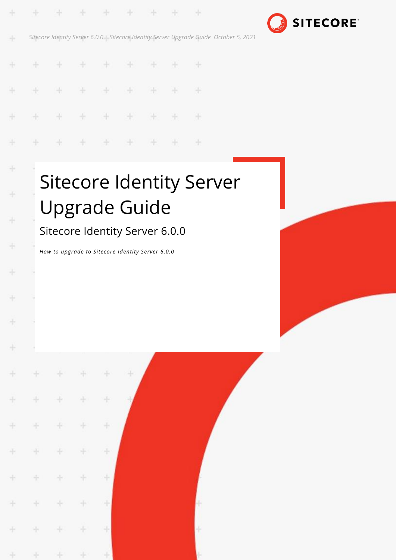

*Sitecore Identity Server 6.0.0 Sitecore Identity Server Upgrade Guide October 5, 2021*

SH.

H. ÷ ÷ ÷ ÷ ÷ æ æ ÷ ÷  $\pm$ ÷ ÷ ÷ ÷ ÷ ÷ ÷ ÷ ÷ æ ÷ ÷ ÷ ÷ ÷ ×  $\frac{1}{2}$ ÷ ÷ ÷

**+ + + + +** 

4

÷

÷

÷

÷

÷

÷

÷

÷

# Sitecore Identity Server Upgrade Guide

Sitecore Identity Server 6.0.0

*How to upgrade to Sitecore Identity Server 6.0.0*

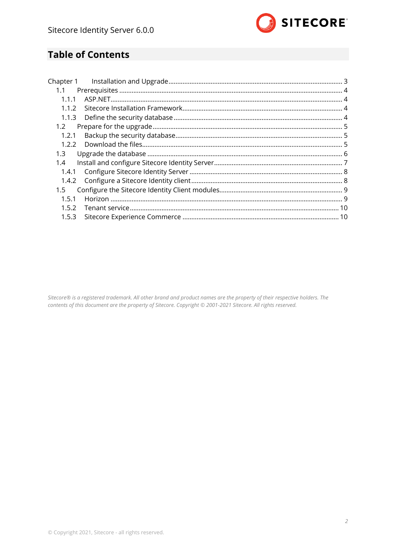

# **Table of Contents**

| 1.1           |  |
|---------------|--|
| 1.1.1         |  |
| 1.1.2         |  |
| 1.1.3         |  |
| $1.2^{\circ}$ |  |
| 1.2.1         |  |
| 1.2.2         |  |
| 1.3           |  |
| 1.4           |  |
| 1.4.1         |  |
|               |  |
| $1.5^{\circ}$ |  |
| 1.5.1         |  |
|               |  |
| 1.5.3         |  |

Sitecore® is a registered trademark. All other brand and product names are the property of their respective holders. The contents of this document are the property of Sitecore. Copyright © 2001-2021 Sitecore. All rights reserved.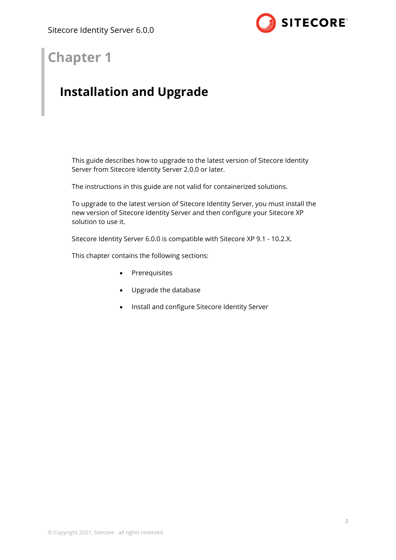

# **Chapter 1**

# <span id="page-2-0"></span>**Installation and Upgrade**

This guide describes how to upgrade to the latest version of Sitecore Identity Server from Sitecore Identity Server 2.0.0 or later.

The instructions in this guide are not valid for containerized solutions.

To upgrade to the latest version of Sitecore Identity Server, you must install the new version of Sitecore Identity Server and then configure your Sitecore XP solution to use it.

Sitecore Identity Server 6.0.0 is compatible with Sitecore XP 9.1 - 10.2.X.

This chapter contains the following sections:

- [Prerequisites](#page-3-0)
- Upgrade [the database](#page-5-0)
- [Install and configure Sitecore Identity Server](#page-6-0)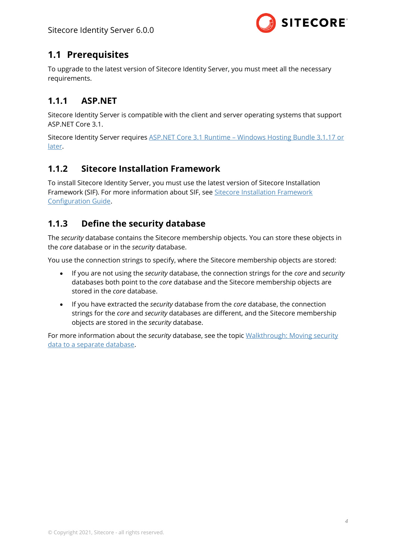

## <span id="page-3-0"></span>**1.1 Prerequisites**

To upgrade to the latest version of Sitecore Identity Server, you must meet all the necessary requirements.

#### <span id="page-3-1"></span>**1.1.1 ASP.NET**

Sitecore Identity Server is compatible with the client and server operating systems that support ASP.NET Core 3.1.

Sitecore Identity Server requires ASP.NET Core 3.1 Runtime – [Windows Hosting Bundle](https://dotnet.microsoft.com/download/dotnet/thank-you/runtime-aspnetcore-3.1.18-windows-hosting-bundle-installer) 3.1.17 or [later.](https://dotnet.microsoft.com/download/dotnet/thank-you/runtime-aspnetcore-3.1.18-windows-hosting-bundle-installer)

#### <span id="page-3-2"></span>**1.1.2 Sitecore Installation Framework**

To install Sitecore Identity Server, you must use the latest version of Sitecore Installation Framework (SIF). For more information about SIF, se[e Sitecore Installation Framework](https://sitecoredev.azureedge.net/~/media/5EA03E12DD634F859DF13D515B068902.ashx?date=20210104T104850)  [Configuration Guide.](https://sitecoredev.azureedge.net/~/media/5EA03E12DD634F859DF13D515B068902.ashx?date=20210104T104850)

#### <span id="page-3-3"></span>**1.1.3 Define the security database**

The *security* database contains the Sitecore membership objects. You can store these objects in the *core* database or in the *security* database.

You use the connection strings to specify, where the Sitecore membership objects are stored:

- If you are not using the *security* database, the connection strings for the *core* and *security* databases both point to the *core* database and the Sitecore membership objects are stored in the *core* database.
- If you have extracted the *security* database from the *core* database, the connection strings for the *core* and *security* databases are different, and the Sitecore membership objects are stored in the *security* database.

For more information about the *security* database, see the topi[c Walkthrough: Moving security](https://doc.sitecore.com/en/developers/101/platform-administration-and-architecture/walkthrough--moving-security-data-to-a-separate-database.html)  [data to a separate database.](https://doc.sitecore.com/en/developers/101/platform-administration-and-architecture/walkthrough--moving-security-data-to-a-separate-database.html)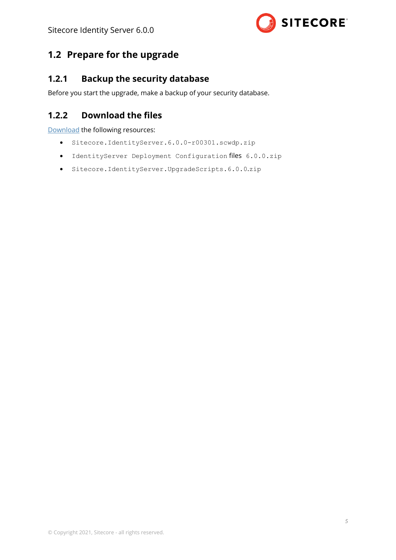

## <span id="page-4-1"></span><span id="page-4-0"></span>**1.2 Prepare for the upgrade**

#### **1.2.1 Backup the security database**

<span id="page-4-2"></span>Before you start the upgrade, make a backup of your security database.

#### **1.2.2 Download the files**

[Download](https://dev.sitecore.net/Downloads/Sitecore_Identity/6x/Sitecore_Identity_600.aspx) the following resources:

- Sitecore.IdentityServer.6.0.0-r00301.scwdp.zip
- IdentityServer Deployment Configuration files 6.0.0.zip
- Sitecore.IdentityServer.UpgradeScripts.6.0.0.zip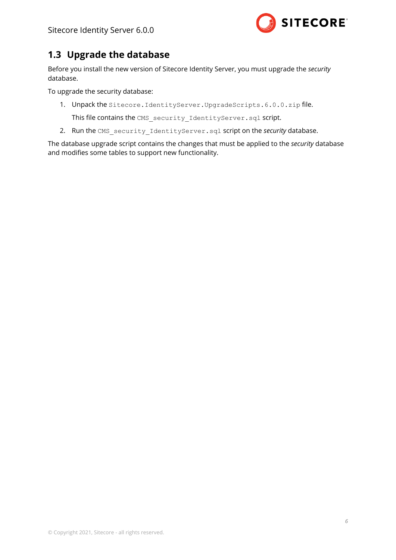

# <span id="page-5-0"></span>**1.3 Upgrade the database**

Before you install the new version of Sitecore Identity Server, you must upgrade the *security* database.

To upgrade the security database:

1. Unpack the Sitecore.IdentityServer.UpgradeScripts.6.0.0.zip file.

This file contains the CMS\_security\_IdentityServer.sql script.

2. Run the CMS security IdentityServer.sql script on the *security* database.

The database upgrade script contains the changes that must be applied to the *security* database and modifies some tables to support new functionality.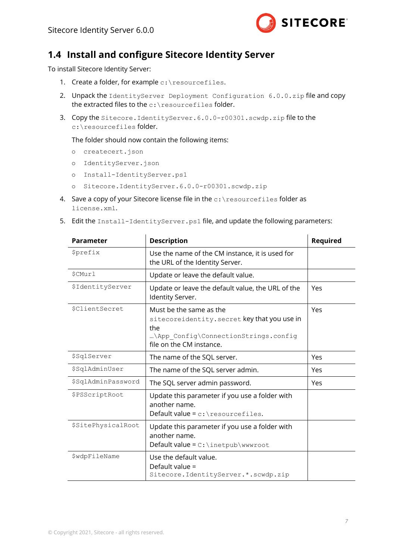

#### <span id="page-6-0"></span>**1.4 Install and configure Sitecore Identity Server**

To install Sitecore Identity Server:

- 1. Create a folder, for example  $c$ : \resourcefiles.
- 2. Unpack the IdentityServer Deployment Configuration 6.0.0.zip file and copy the extracted files to the c: \resourcefiles folder.
- 3. Copy the Sitecore.IdentityServer.6.0.0-r00301.scwdp.zip file to the c:\resourcefiles folder.

The folder should now contain the following items:

- o createcert.json
- o IdentityServer.json
- o Install-IdentityServer.ps1
- o Sitecore.IdentityServer.6.0.0-r00301.scwdp.zip
- 4. Save a copy of your Sitecore license file in the  $c:\text{seoveriles folder as}$ license.xml.
- 5. Edit the Install-IdentityServer.ps1 file, and update the following parameters:

| <b>Parameter</b>            | <b>Description</b>                                                                                                                                 | <b>Required</b> |
|-----------------------------|----------------------------------------------------------------------------------------------------------------------------------------------------|-----------------|
| <i><b>Sprefix</b></i>       | Use the name of the CM instance, it is used for<br>the URL of the Identity Server.                                                                 |                 |
| \$CMurl                     | Update or leave the default value.                                                                                                                 |                 |
| \$IdentityServer            | Update or leave the default value, the URL of the<br>Identity Server.                                                                              | Yes             |
| <b>SClientSecret</b>        | Must be the same as the<br>sitecoreidentity. secret key that you use in<br>the<br>\App Config\ConnectionStrings.config<br>file on the CM instance. | Yes             |
| <i><b>\$SqlServer</b></i>   | The name of the SQL server.                                                                                                                        | <b>Yes</b>      |
| \$SqlAdminUser              | The name of the SQL server admin.                                                                                                                  | <b>Yes</b>      |
| \$SqlAdminPassword          | The SQL server admin password.                                                                                                                     | <b>Yes</b>      |
| \$PSScriptRoot              | Update this parameter if you use a folder with<br>another name.<br>Default value = $c$ : \resourcefiles.                                           |                 |
| \$SitePhysicalRoot          | Update this parameter if you use a folder with<br>another name.<br>Default value = $C:\line{pub\wwwroot}$                                          |                 |
| <i><b>\$wdpFileName</b></i> | Use the default value.<br>Default value =<br>Sitecore. IdentityServer.*. scwdp.zip                                                                 |                 |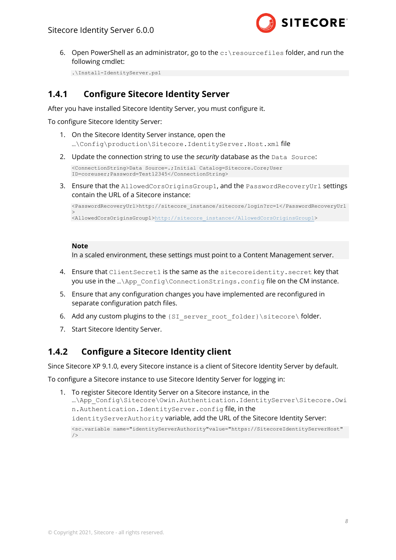

6. Open PowerShell as an administrator, go to the  $c:\res{orderiles}$  folder, and run the following cmdlet:

<span id="page-7-0"></span>.\Install-IdentityServer.ps1

#### **1.4.1 Configure Sitecore Identity Server**

After you have installed Sitecore Identity Server, you must configure it.

To configure Sitecore Identity Server:

- 1. On the Sitecore Identity Server instance, open the …\Config\production\Sitecore.IdentityServer.Host.xml file
- 2. Update the connection string to use the *security* database as the Data Source:

```
<ConnectionString>Data Source=.;Initial Catalog=Sitecore.Core;User 
ID=coreuser;Password=Test12345</ConnectionString>
```
3. Ensure that the AllowedCorsOriginsGroup1, and the PasswordRecoveryUrl settings contain the URL of a Sitecore instance:

<PasswordRecoveryUrl>http://sitecore\_instance/sitecore/login?rc=1</PasswordRecoveryUrl >

<AllowedCorsOriginsGroup1>http://sitecore\_instance</AllowedCorsOriginsGroup1>

#### **Note**

In a scaled environment, these settings must point to a Content Management server.

- 4. Ensure that ClientSecret1 is the same as the site coreidentity.secret key that you use in the …\App\_Config\ConnectionStrings.config file on the CM instance.
- 5. Ensure that any configuration changes you have implemented are reconfigured in separate configuration patch files.
- 6. Add any custom plugins to the {SI\_server\_root\_folder}\sitecore\ folder.
- 7. Start Sitecore Identity Server.

#### <span id="page-7-1"></span>**1.4.2 Configure a Sitecore Identity client**

Since Sitecore XP 9.1.0, every Sitecore instance is a client of Sitecore Identity Server by default.

To configure a Sitecore instance to use Sitecore Identity Server for logging in:

1. To register Sitecore Identity Server on a Sitecore instance, in the …\App\_Config\Sitecore\Owin.Authentication.IdentityServer\Sitecore.Owi n.Authentication.IdentityServer.config file, in the identityServerAuthority variable, add the URL of the Sitecore Identity Server: <sc.variable name="identityServerAuthority"value="https://SitecoreIdentityServerHost"  $/$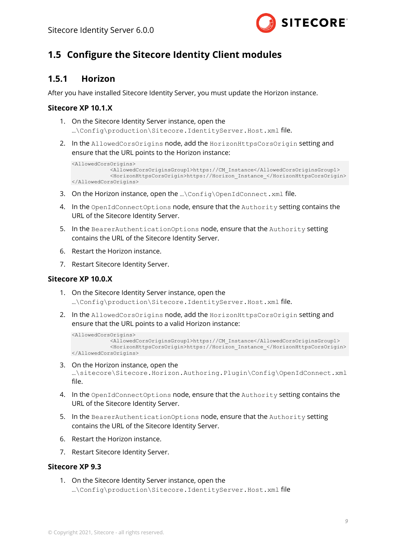

# <span id="page-8-1"></span><span id="page-8-0"></span>**1.5 Configure the Sitecore Identity Client modules**

#### **1.5.1 Horizon**

After you have installed Sitecore Identity Server, you must update the Horizon instance.

#### **Sitecore XP 10.1.X**

- 1. On the Sitecore Identity Server instance, open the …\Config\production\Sitecore.IdentityServer.Host.xml file.
- 2. In the AllowedCorsOrigins node, add the HorizonHttpsCorsOrigin setting and ensure that the URL points to the Horizon instance:

```
<AllowedCorsOrigins>
             <AllowedCorsOriginsGroup1>https://CM_Instance</AllowedCorsOriginsGroup1>
             <HorizonHttpsCorsOrigin>https://Horizon_Instance_</HorizonHttpsCorsOrigin>
</AllowedCorsOrigins>
```
- 3. On the Horizon instance, open the ...\Config\OpenIdConnect.xml file.
- 4. In the OpenIdConnectOptions node, ensure that the Authority setting contains the URL of the Sitecore Identity Server.
- 5. In the BearerAuthenticationOptions node, ensure that the Authority setting contains the URL of the Sitecore Identity Server.
- 6. Restart the Horizon instance.
- 7. Restart Sitecore Identity Server.

#### **Sitecore XP 10.0.X**

- 1. On the Sitecore Identity Server instance, open the …\Config\production\Sitecore.IdentityServer.Host.xml file.
- 2. In the AllowedCorsOrigins node, add the HorizonHttpsCorsOrigin setting and ensure that the URL points to a valid Horizon instance:

```
<AllowedCorsOrigins>
             <AllowedCorsOriginsGroup1>https://CM_Instance</AllowedCorsOriginsGroup1>
             <HorizonHttpsCorsOrigin>https://Horizon_Instance_</HorizonHttpsCorsOrigin>
</AllowedCorsOrigins>
```
- 3. On the Horizon instance, open the …\sitecore\Sitecore.Horizon.Authoring.Plugin\Config\OpenIdConnect.xml file.
- 4. In the OpenIdConnectOptions node, ensure that the Authority setting contains the URL of the Sitecore Identity Server.
- 5. In the BearerAuthenticationOptions node, ensure that the Authority setting contains the URL of the Sitecore Identity Server.
- 6. Restart the Horizon instance.
- 7. Restart Sitecore Identity Server.

#### **Sitecore XP 9.3**

1. On the Sitecore Identity Server instance, open the …\Config\production\Sitecore.IdentityServer.Host.xml file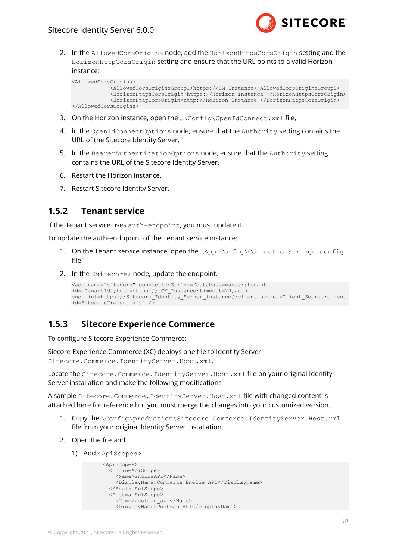

2. In the AllowedCorsOrigins node, add the HorizonHttpsCorsOrigin setting and the HorizonHttpCorsOrigin setting and ensure that the URL points to a valid Horizon instance:

```
<AllowedCorsOrigins>
             <AllowedCorsOriginsGroup1>https://CM_Instance</AllowedCorsOriginsGroup1>
             <HorizonHttpsCorsOrigin>https://Horizon_Instance_</HorizonHttpsCorsOrigin>
             <HorizonHttpCorsOrigin>http://Horizon_Instance_</HorizonHttpsCorsOrigin>
</AllowedCorsOrigins>
```
- 3. On the Horizon instance, open the ...\Config\OpenIdConnect.xml file,
- 4. In the OpenIdConnectOptions node, ensure that the Authority setting contains the URL of the Sitecore Identity Server.
- 5. In the BearerAuthenticationOptions node, ensure that the Authority setting contains the URL of the Sitecore Identity Server.
- 6. Restart the Horizon instance.
- 7. Restart Sitecore Identity Server.

#### <span id="page-9-0"></span>**1.5.2 Tenant service**

If the Tenant service uses auth-endpoint, you must update it.

To update the auth-endnpoint of the Tenant service instance:

- 1. On the Tenant service instance, open the ...App Config\ConnectionStrings.config file.
- 2. In the <sitecore> node, update the endpoint.

```
<add name="sitecore" connectionString="database=master;tenant 
id={TenantId};host=https:// CM_Instance;timeout=20;auth 
endpoint=https://Sitecore_Identity_Server_instance/;client secret=Client Secret;client
id=SitecoreCredentials" />
```
#### <span id="page-9-1"></span>**1.5.3 Sitecore Experience Commerce**

To configure Sitecore Experience Commerce:

Siecore Experience Commerce (XC) deploys one file to Identity Server – Sitecore.Commerce.IdentityServer.Host.xml.

Locate the Sitecore. Commerce. IdentityServer. Host. xml file on your original Identity Server installation and make the following modifications

A sample Sitecore.Commerce.IdentityServer.Host.xml file with changed content is attached here for reference but you must merge the changes into your customized version.

- 1. Copy the \Config\production\Sitecore.Commerce.IdentityServer.Host.xml file from your original Identity Server installation.
- 2. Open the file and
	- 1) Add <ApiScopes> :

```
 <ApiScopes>
  <EngineApiScope>
    <Name>EngineAPI</Name>
    <DisplayName>Commerce Engine API</DisplayName>
  </EngineApiScope>
  <PostmanApiScope>
    <Name>postman_api</Name>
    <DisplayName>Postman API</DisplayName>
```